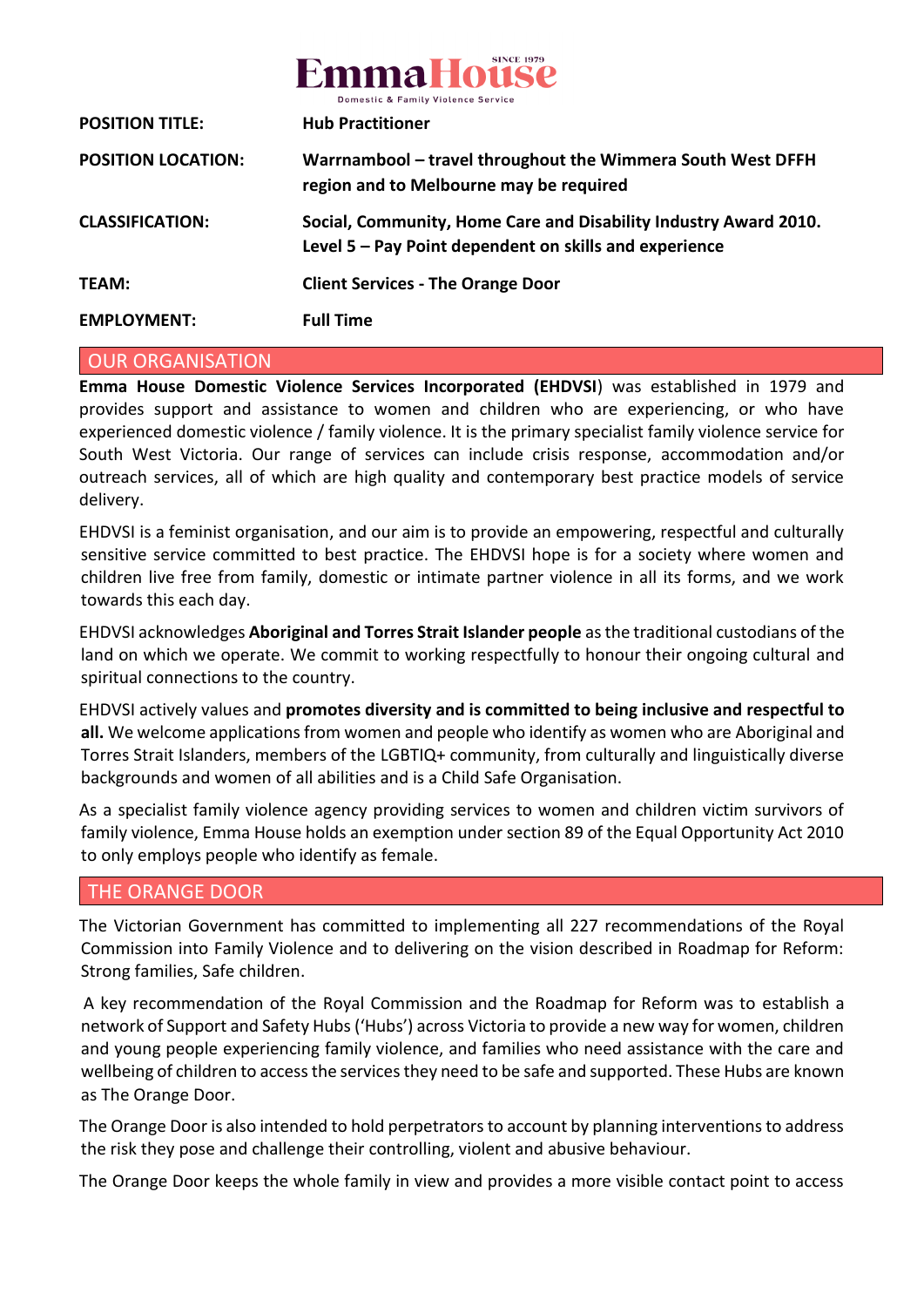

| <b>POSITION TITLE:</b>    | <b>Hub Practitioner</b>                                                                                                    |
|---------------------------|----------------------------------------------------------------------------------------------------------------------------|
| <b>POSITION LOCATION:</b> | Warrnambool – travel throughout the Wimmera South West DFFH<br>region and to Melbourne may be required                     |
| <b>CLASSIFICATION:</b>    | Social, Community, Home Care and Disability Industry Award 2010.<br>Level 5 – Pay Point dependent on skills and experience |
| TEAM:                     | <b>Client Services - The Orange Door</b>                                                                                   |
| <b>EMPLOYMENT:</b>        | <b>Full Time</b>                                                                                                           |

#### OUR ORGANISATION

**Emma House Domestic Violence Services Incorporated (EHDVSI**) was established in 1979 and provides support and assistance to women and children who are experiencing, or who have experienced domestic violence / family violence. It is the primary specialist family violence service for South West Victoria. Our range of services can include crisis response, accommodation and/or outreach services, all of which are high quality and contemporary best practice models of service delivery.

EHDVSI is a feminist organisation, and our aim is to provide an empowering, respectful and culturally sensitive service committed to best practice. The EHDVSI hope is for a society where women and children live free from family, domestic or intimate partner violence in all its forms, and we work towards this each day.

EHDVSI acknowledges **Aboriginal and Torres Strait Islander people** as the traditional custodians of the land on which we operate. We commit to working respectfully to honour their ongoing cultural and spiritual connections to the country.

EHDVSI actively values and **promotes diversity and is committed to being inclusive and respectful to all.** We welcome applications from women and people who identify as women who are Aboriginal and Torres Strait Islanders, members of the LGBTIQ+ community, from culturally and linguistically diverse backgrounds and women of all abilities and is a Child Safe Organisation.

As a specialist family violence agency providing services to women and children victim survivors of family violence, Emma House holds an exemption under section 89 of the Equal Opportunity Act 2010 to only employs people who identify as female.

#### THE ORANGE DOOR

The Victorian Government has committed to implementing all 227 recommendations of the Royal Commission into Family Violence and to delivering on the vision described in Roadmap for Reform: Strong families, Safe children.

A key recommendation of the Royal Commission and the Roadmap for Reform was to establish a network of Support and Safety Hubs ('Hubs') across Victoria to provide a new way for women, children and young people experiencing family violence, and families who need assistance with the care and wellbeing of children to access the services they need to be safe and supported. These Hubs are known as The Orange Door.

The Orange Door is also intended to hold perpetrators to account by planning interventions to address the risk they pose and challenge their controlling, violent and abusive behaviour.

The Orange Door keeps the whole family in view and provides a more visible contact point to access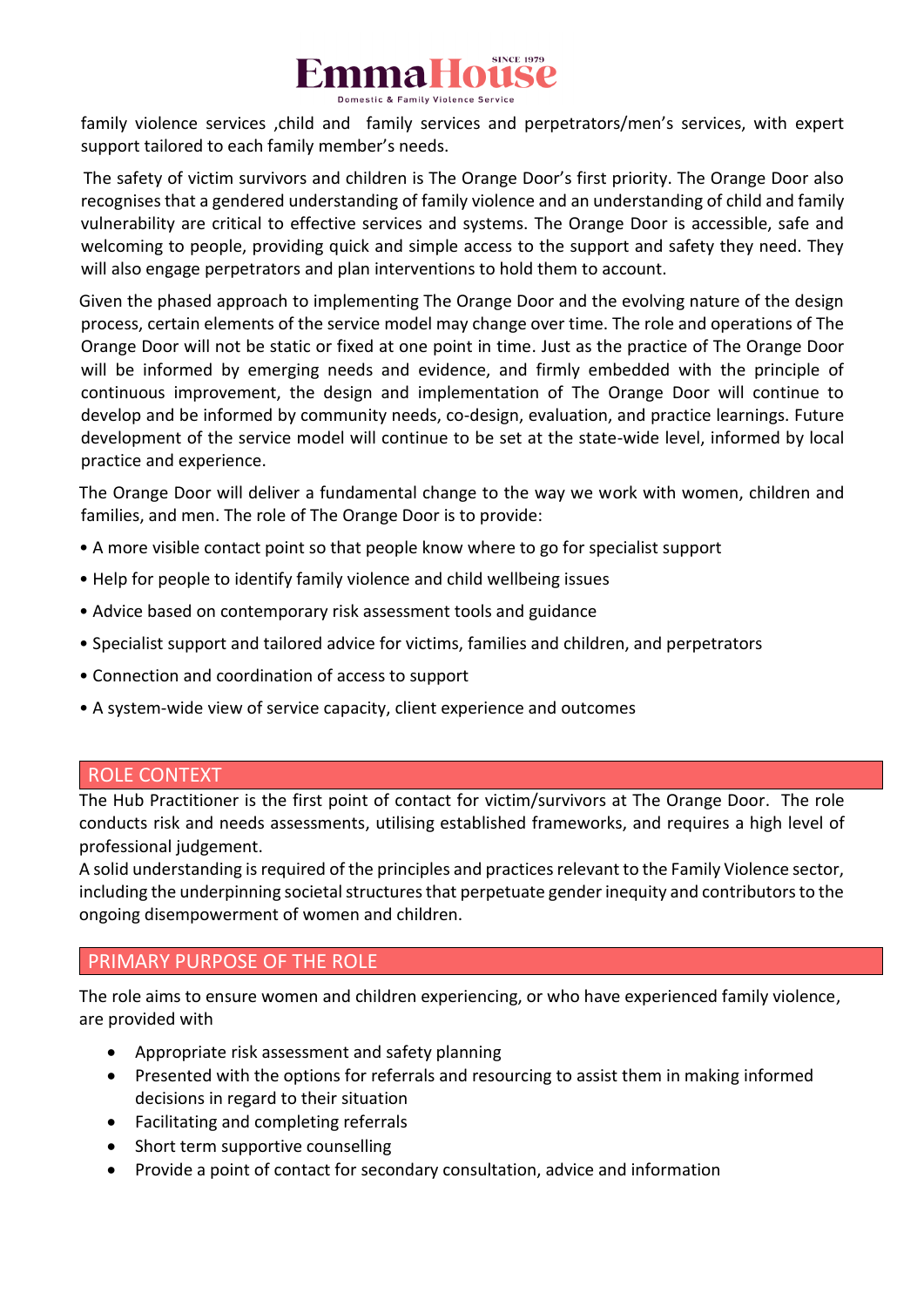

family violence services ,child and family services and perpetrators/men's services, with expert support tailored to each family member's needs.

The safety of victim survivors and children is The Orange Door's first priority. The Orange Door also recognises that a gendered understanding of family violence and an understanding of child and family vulnerability are critical to effective services and systems. The Orange Door is accessible, safe and welcoming to people, providing quick and simple access to the support and safety they need. They will also engage perpetrators and plan interventions to hold them to account.

Given the phased approach to implementing The Orange Door and the evolving nature of the design process, certain elements of the service model may change over time. The role and operations of The Orange Door will not be static or fixed at one point in time. Just as the practice of The Orange Door will be informed by emerging needs and evidence, and firmly embedded with the principle of continuous improvement, the design and implementation of The Orange Door will continue to develop and be informed by community needs, co-design, evaluation, and practice learnings. Future development of the service model will continue to be set at the state-wide level, informed by local practice and experience.

The Orange Door will deliver a fundamental change to the way we work with women, children and families, and men. The role of The Orange Door is to provide:

- A more visible contact point so that people know where to go for specialist support
- Help for people to identify family violence and child wellbeing issues
- Advice based on contemporary risk assessment tools and guidance
- Specialist support and tailored advice for victims, families and children, and perpetrators
- Connection and coordination of access to support
- A system-wide view of service capacity, client experience and outcomes

### ROLE CONTEXT

The Hub Practitioner is the first point of contact for victim/survivors at The Orange Door. The role conducts risk and needs assessments, utilising established frameworks, and requires a high level of professional judgement.

A solid understanding is required of the principles and practices relevant to the Family Violence sector, including the underpinning societal structures that perpetuate gender inequity and contributors to the ongoing disempowerment of women and children.

### PRIMARY PURPOSE OF THE ROLE

The role aims to ensure women and children experiencing, or who have experienced family violence, are provided with

- Appropriate risk assessment and safety planning
- Presented with the options for referrals and resourcing to assist them in making informed decisions in regard to their situation
- Facilitating and completing referrals
- Short term supportive counselling
- Provide a point of contact for secondary consultation, advice and information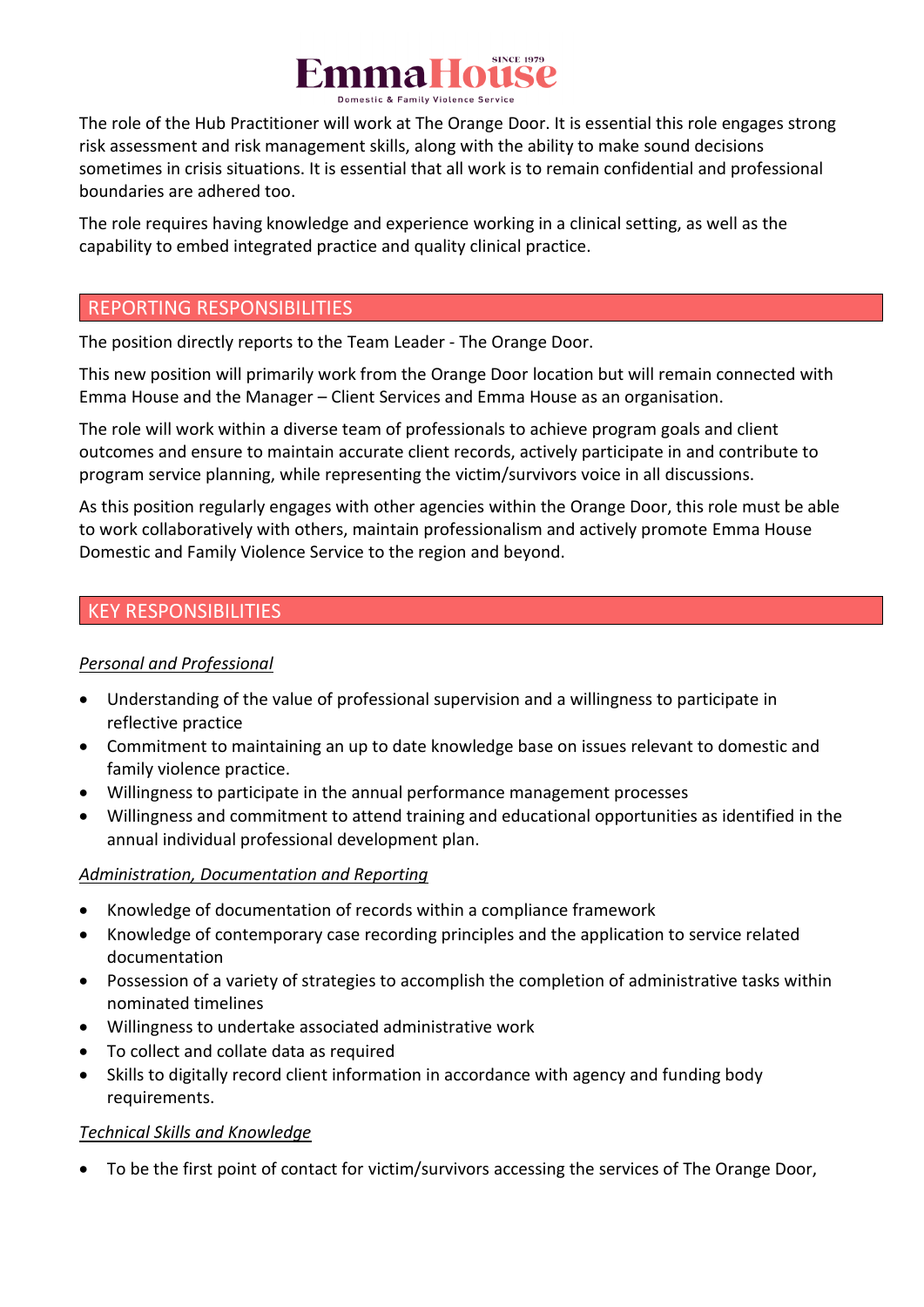

The role of the Hub Practitioner will work at The Orange Door. It is essential this role engages strong risk assessment and risk management skills, along with the ability to make sound decisions sometimes in crisis situations. It is essential that all work is to remain confidential and professional boundaries are adhered too.

The role requires having knowledge and experience working in a clinical setting, as well as the capability to embed integrated practice and quality clinical practice.

## REPORTING RESPONSIBILITIES

The position directly reports to the Team Leader - The Orange Door.

This new position will primarily work from the Orange Door location but will remain connected with Emma House and the Manager – Client Services and Emma House as an organisation.

The role will work within a diverse team of professionals to achieve program goals and client outcomes and ensure to maintain accurate client records, actively participate in and contribute to program service planning, while representing the victim/survivors voice in all discussions.

As this position regularly engages with other agencies within the Orange Door, this role must be able to work collaboratively with others, maintain professionalism and actively promote Emma House Domestic and Family Violence Service to the region and beyond.

### KEY RESPONSIBILITIES

### *Personal and Professional*

- Understanding of the value of professional supervision and a willingness to participate in reflective practice
- Commitment to maintaining an up to date knowledge base on issues relevant to domestic and family violence practice.
- Willingness to participate in the annual performance management processes
- Willingness and commitment to attend training and educational opportunities as identified in the annual individual professional development plan.

### *Administration, Documentation and Reporting*

- Knowledge of documentation of records within a compliance framework
- Knowledge of contemporary case recording principles and the application to service related documentation
- Possession of a variety of strategies to accomplish the completion of administrative tasks within nominated timelines
- Willingness to undertake associated administrative work
- To collect and collate data as required
- Skills to digitally record client information in accordance with agency and funding body requirements.

### *Technical Skills and Knowledge*

• To be the first point of contact for victim/survivors accessing the services of The Orange Door,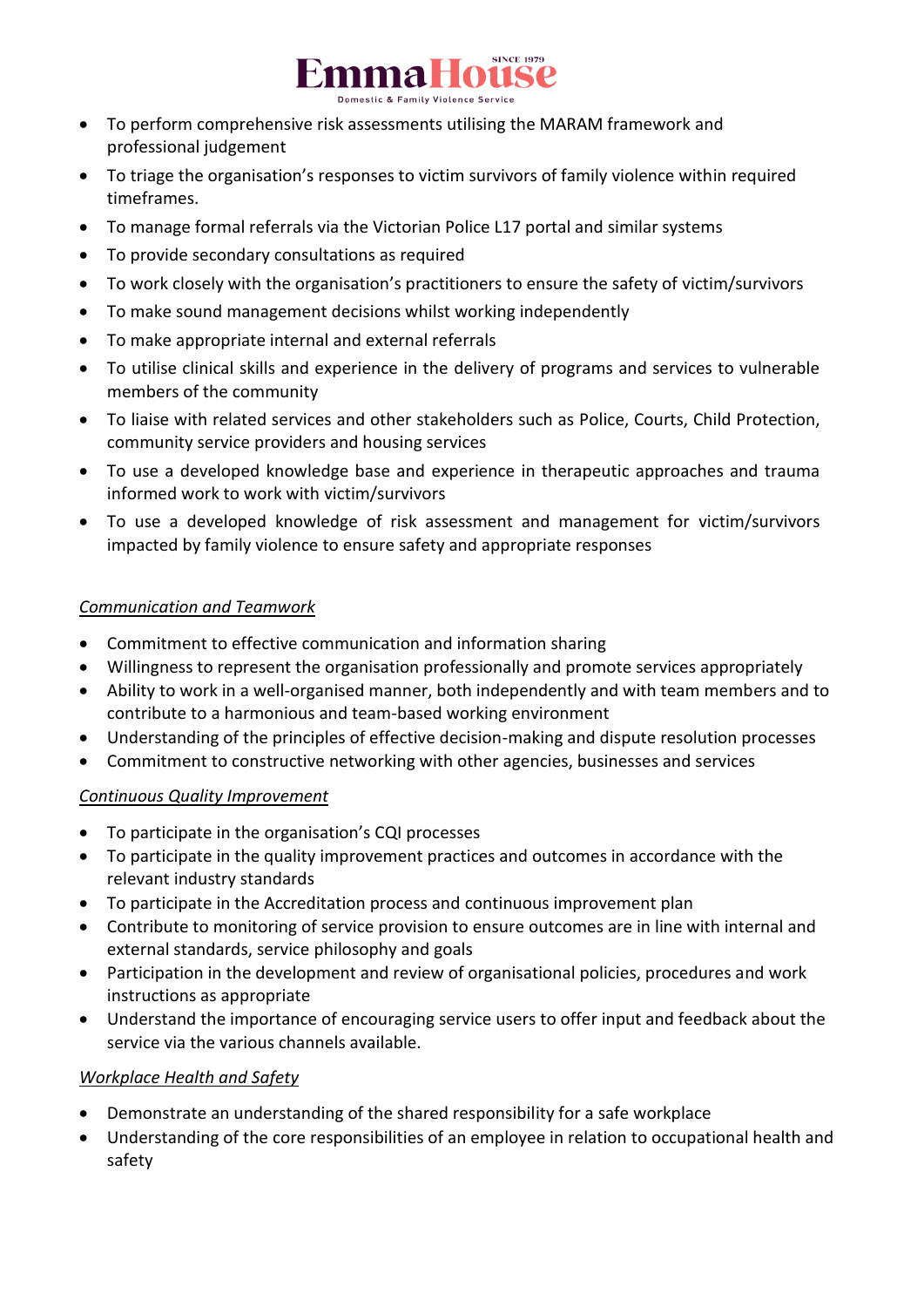

- To perform comprehensive risk assessments utilising the MARAM framework and professional judgement
- To triage the organisation's responses to victim survivors of family violence within required timeframes.
- To manage formal referrals via the Victorian Police L17 portal and similar systems
- To provide secondary consultations as required
- To work closely with the organisation's practitioners to ensure the safety of victim/survivors
- To make sound management decisions whilst working independently
- To make appropriate internal and external referrals
- To utilise clinical skills and experience in the delivery of programs and services to vulnerable members of the community
- To liaise with related services and other stakeholders such as Police, Courts, Child Protection, community service providers and housing services
- To use a developed knowledge base and experience in therapeutic approaches and trauma informed work to work with victim/survivors
- To use a developed knowledge of risk assessment and management for victim/survivors impacted by family violence to ensure safety and appropriate responses

### *Communication and Teamwork*

- Commitment to effective communication and information sharing
- Willingness to represent the organisation professionally and promote services appropriately
- Ability to work in a well-organised manner, both independently and with team members and to contribute to a harmonious and team-based working environment
- Understanding of the principles of effective decision-making and dispute resolution processes
- Commitment to constructive networking with other agencies, businesses and services

### *Continuous Quality Improvement*

- To participate in the organisation's CQI processes
- To participate in the quality improvement practices and outcomes in accordance with the relevant industry standards
- To participate in the Accreditation process and continuous improvement plan
- Contribute to monitoring of service provision to ensure outcomes are in line with internal and external standards, service philosophy and goals
- Participation in the development and review of organisational policies, procedures and work instructions as appropriate
- Understand the importance of encouraging service users to offer input and feedback about the service via the various channels available.

### *Workplace Health and Safety*

- Demonstrate an understanding of the shared responsibility for a safe workplace
- Understanding of the core responsibilities of an employee in relation to occupational health and safety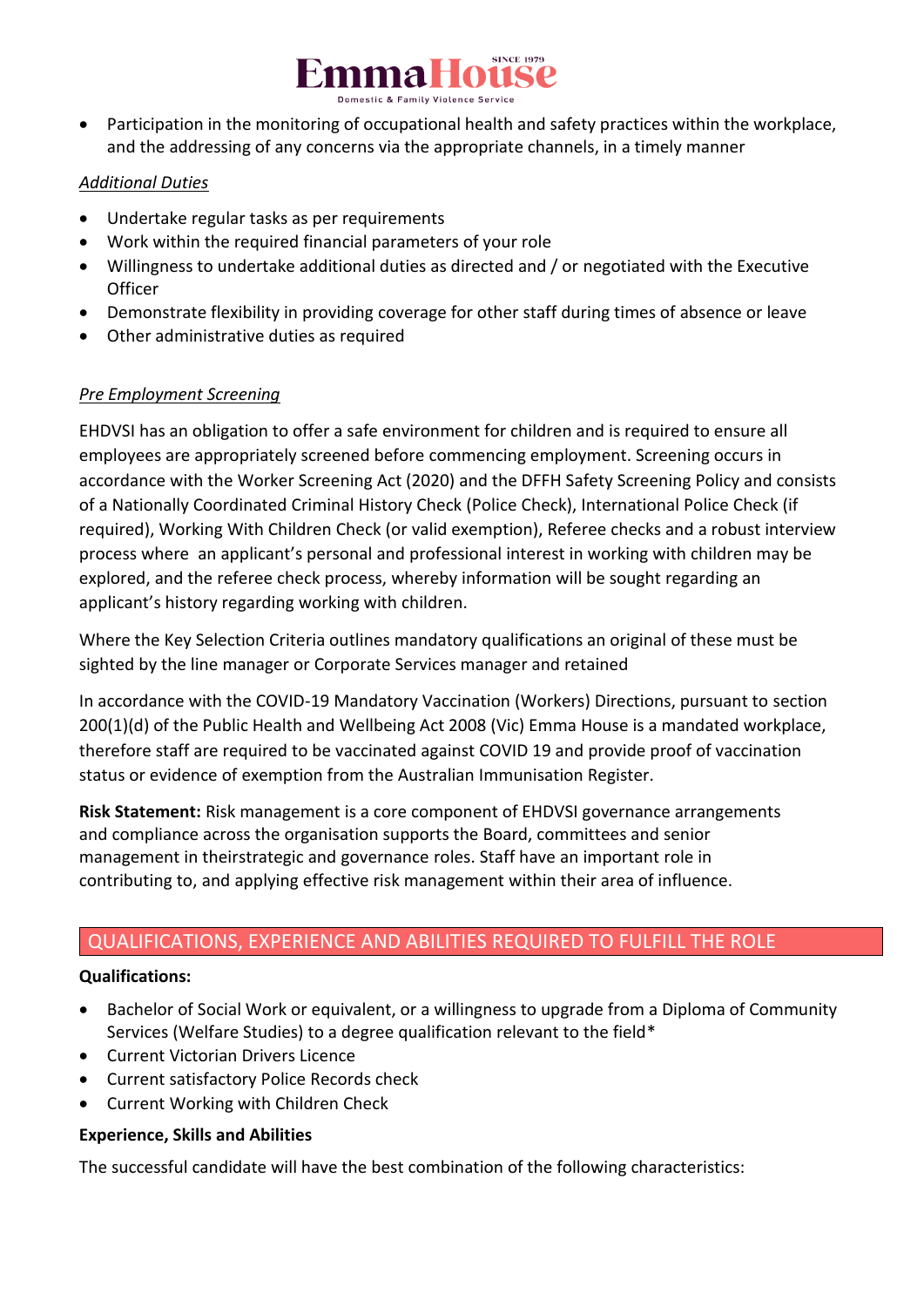

• Participation in the monitoring of occupational health and safety practices within the workplace, and the addressing of any concerns via the appropriate channels, in a timely manner

### *Additional Duties*

- Undertake regular tasks as per requirements
- Work within the required financial parameters of your role
- Willingness to undertake additional duties as directed and / or negotiated with the Executive **Officer**
- Demonstrate flexibility in providing coverage for other staff during times of absence or leave
- Other administrative duties as required

## *Pre Employment Screening*

EHDVSI has an obligation to offer a safe environment for children and is required to ensure all employees are appropriately screened before commencing employment. Screening occurs in accordance with the Worker Screening Act (2020) and the DFFH Safety Screening Policy and consists of a Nationally Coordinated Criminal History Check (Police Check), International Police Check (if required), Working With Children Check (or valid exemption), Referee checks and a robust interview process where an applicant's personal and professional interest in working with children may be explored, and the referee check process, whereby information will be sought regarding an applicant's history regarding working with children.

Where the Key Selection Criteria outlines mandatory qualifications an original of these must be sighted by the line manager or Corporate Services manager and retained

In accordance with the COVID-19 Mandatory Vaccination (Workers) Directions, pursuant to section 200(1)(d) of the Public Health and Wellbeing Act 2008 (Vic) Emma House is a mandated workplace, therefore staff are required to be vaccinated against COVID 19 and provide proof of vaccination status or evidence of exemption from the Australian Immunisation Register.

**Risk Statement:** Risk management is a core component of EHDVSI governance arrangements and compliance across the organisation supports the Board, committees and senior management in theirstrategic and governance roles. Staff have an important role in contributing to, and applying effective risk management within their area of influence.

# QUALIFICATIONS, EXPERIENCE AND ABILITIES REQUIRED TO FULFILL THE ROLE

### **Qualifications:**

- Bachelor of Social Work or equivalent, or a willingness to upgrade from a Diploma of Community Services (Welfare Studies) to a degree qualification relevant to the field\*
- Current Victorian Drivers Licence
- Current satisfactory Police Records check
- Current Working with Children Check

# **Experience, Skills and Abilities**

The successful candidate will have the best combination of the following characteristics: